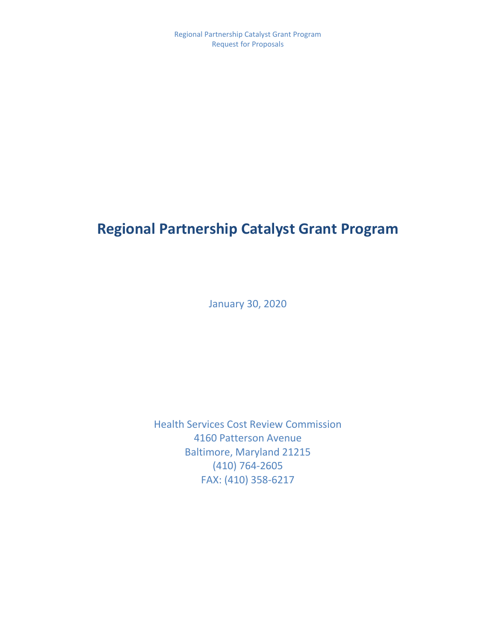# **Regional Partnership Catalyst Grant Program**

January 30, 2020

Health Services Cost Review Commission 4160 Patterson Avenue Baltimore, Maryland 21215 (410) 764-2605 FAX: (410) 358-6217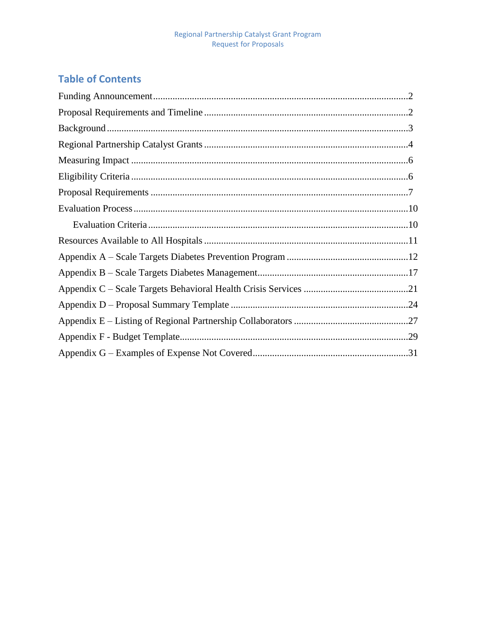## **Table of Contents**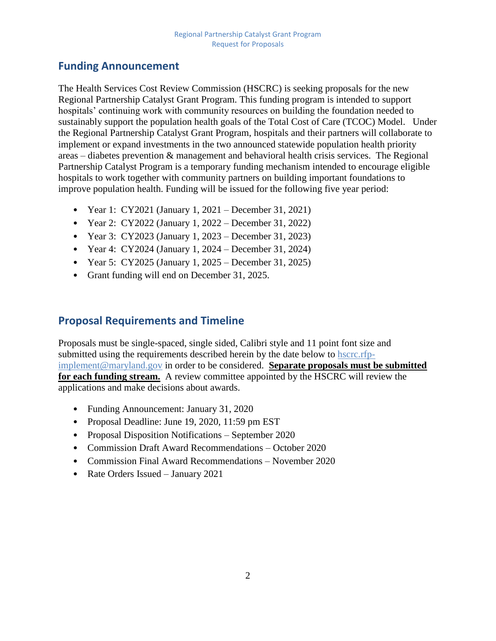## <span id="page-2-0"></span>**Funding Announcement**

The Health Services Cost Review Commission (HSCRC) is seeking proposals for the new Regional Partnership Catalyst Grant Program. This funding program is intended to support hospitals' continuing work with community resources on building the foundation needed to sustainably support the population health goals of the Total Cost of Care (TCOC) Model. Under the Regional Partnership Catalyst Grant Program, hospitals and their partners will collaborate to implement or expand investments in the two announced statewide population health priority areas – diabetes prevention & management and behavioral health crisis services. The Regional Partnership Catalyst Program is a temporary funding mechanism intended to encourage eligible hospitals to work together with community partners on building important foundations to improve population health. Funding will be issued for the following five year period:

- Year 1: CY2021 (January 1, 2021 December 31, 2021)
- Year 2: CY2022 (January 1, 2022 December 31, 2022)
- Year 3: CY2023 (January 1, 2023 December 31, 2023)
- Year 4: CY2024 (January 1, 2024 December 31, 2024)
- Year 5: CY2025 (January 1, 2025 December 31, 2025)
- Grant funding will end on December 31, 2025.

## <span id="page-2-1"></span>**Proposal Requirements and Timeline**

Proposals must be single-spaced, single sided, Calibri style and 11 point font size and submitted using the requirements described herein by the date below to [hscrc.rfp](mailto:hscrc.rfp-implement@maryland.gov)[implement@maryland.gov](mailto:hscrc.rfp-implement@maryland.gov) in order to be considered. **Separate proposals must be submitted for each funding stream.** A review committee appointed by the HSCRC will review the applications and make decisions about awards.

- Funding Announcement: January 31, 2020
- Proposal Deadline: June 19, 2020, 11:59 pm EST
- Proposal Disposition Notifications September 2020
- Commission Draft Award Recommendations October 2020
- Commission Final Award Recommendations November 2020
- Rate Orders Issued January 2021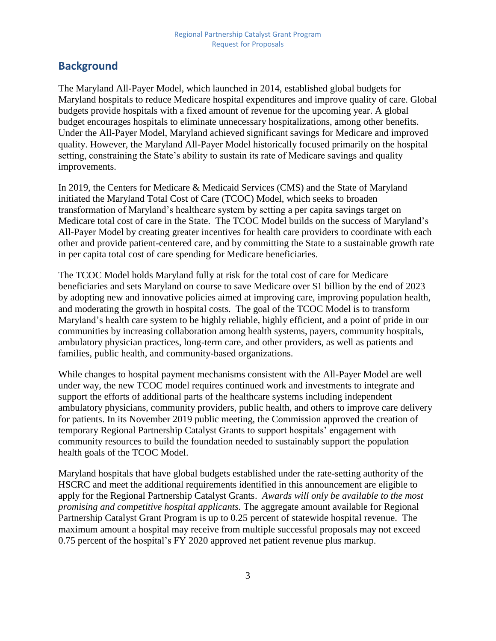## <span id="page-3-0"></span>**Background**

The Maryland All-Payer Model, which launched in 2014, established global budgets for Maryland hospitals to reduce Medicare hospital expenditures and improve quality of care. Global budgets provide hospitals with a fixed amount of revenue for the upcoming year. A global budget encourages hospitals to eliminate unnecessary hospitalizations, among other benefits. Under the All-Payer Model, Maryland achieved significant savings for Medicare and improved quality. However, the Maryland All-Payer Model historically focused primarily on the hospital setting, constraining the State's ability to sustain its rate of Medicare savings and quality improvements.

In 2019, the Centers for Medicare & Medicaid Services (CMS) and the State of Maryland initiated the Maryland Total Cost of Care (TCOC) Model, which seeks to broaden transformation of Maryland's healthcare system by setting a per capita savings target on Medicare total cost of care in the State. The TCOC Model builds on the success of Maryland's All-Payer Model by creating greater incentives for health care providers to coordinate with each other and provide patient-centered care, and by committing the State to a sustainable growth rate in per capita total cost of care spending for Medicare beneficiaries.

The TCOC Model holds Maryland fully at risk for the total cost of care for Medicare beneficiaries and sets Maryland on course to save Medicare over \$1 billion by the end of 2023 by adopting new and innovative policies aimed at improving care, improving population health, and moderating the growth in hospital costs. The goal of the TCOC Model is to transform Maryland's health care system to be highly reliable, highly efficient, and a point of pride in our communities by increasing collaboration among health systems, payers, community hospitals, ambulatory physician practices, long-term care, and other providers, as well as patients and families, public health, and community-based organizations.

While changes to hospital payment mechanisms consistent with the All-Payer Model are well under way, the new TCOC model requires continued work and investments to integrate and support the efforts of additional parts of the healthcare systems including independent ambulatory physicians, community providers, public health, and others to improve care delivery for patients. In its November 2019 public meeting, the Commission approved the creation of temporary Regional Partnership Catalyst Grants to support hospitals' engagement with community resources to build the foundation needed to sustainably support the population health goals of the TCOC Model.

Maryland hospitals that have global budgets established under the rate-setting authority of the HSCRC and meet the additional requirements identified in this announcement are eligible to apply for the Regional Partnership Catalyst Grants. *Awards will only be available to the most promising and competitive hospital applicants.* The aggregate amount available for Regional Partnership Catalyst Grant Program is up to 0.25 percent of statewide hospital revenue. The maximum amount a hospital may receive from multiple successful proposals may not exceed 0.75 percent of the hospital's FY 2020 approved net patient revenue plus markup.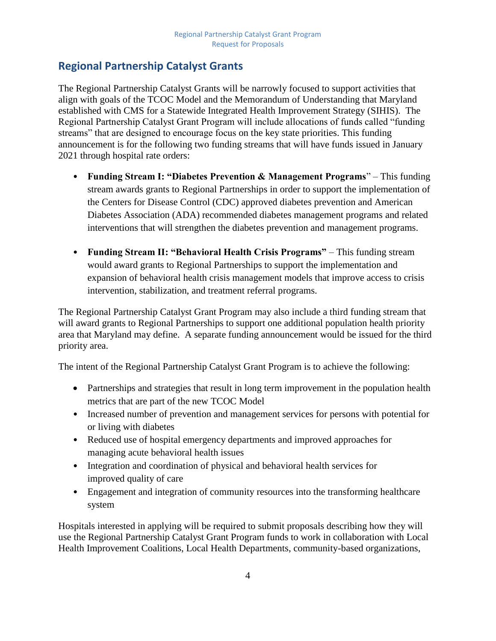## <span id="page-4-0"></span>**Regional Partnership Catalyst Grants**

The Regional Partnership Catalyst Grants will be narrowly focused to support activities that align with goals of the TCOC Model and the Memorandum of Understanding that Maryland established with CMS for a Statewide Integrated Health Improvement Strategy (SIHIS). The Regional Partnership Catalyst Grant Program will include allocations of funds called "funding streams" that are designed to encourage focus on the key state priorities. This funding announcement is for the following two funding streams that will have funds issued in January 2021 through hospital rate orders:

- **Funding Stream I: "Diabetes Prevention & Management Programs**" This funding stream awards grants to Regional Partnerships in order to support the implementation of the Centers for Disease Control (CDC) approved diabetes prevention and American Diabetes Association (ADA) recommended diabetes management programs and related interventions that will strengthen the diabetes prevention and management programs.
- **Funding Stream II: "Behavioral Health Crisis Programs"** This funding stream would award grants to Regional Partnerships to support the implementation and expansion of behavioral health crisis management models that improve access to crisis intervention, stabilization, and treatment referral programs.

The Regional Partnership Catalyst Grant Program may also include a third funding stream that will award grants to Regional Partnerships to support one additional population health priority area that Maryland may define. A separate funding announcement would be issued for the third priority area.

The intent of the Regional Partnership Catalyst Grant Program is to achieve the following:

- Partnerships and strategies that result in long term improvement in the population health metrics that are part of the new TCOC Model
- Increased number of prevention and management services for persons with potential for or living with diabetes
- Reduced use of hospital emergency departments and improved approaches for managing acute behavioral health issues
- Integration and coordination of physical and behavioral health services for improved quality of care
- Engagement and integration of community resources into the transforming healthcare system

Hospitals interested in applying will be required to submit proposals describing how they will use the Regional Partnership Catalyst Grant Program funds to work in collaboration with Local Health Improvement Coalitions, Local Health Departments, community-based organizations,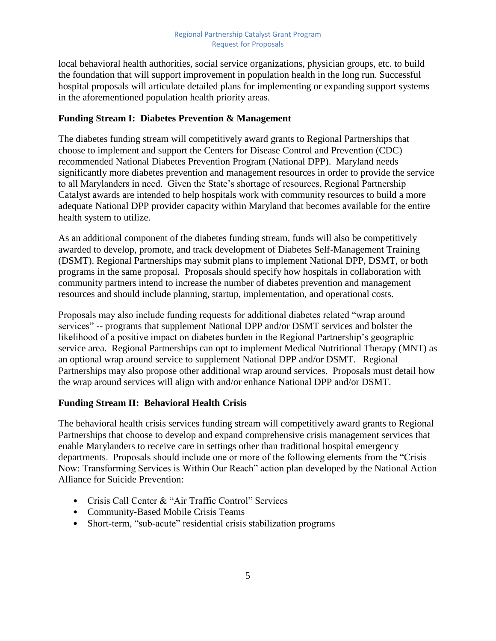local behavioral health authorities, social service organizations, physician groups, etc. to build the foundation that will support improvement in population health in the long run. Successful hospital proposals will articulate detailed plans for implementing or expanding support systems in the aforementioned population health priority areas.

#### **Funding Stream I: Diabetes Prevention & Management**

The diabetes funding stream will competitively award grants to Regional Partnerships that choose to implement and support the Centers for Disease Control and Prevention (CDC) recommended National Diabetes Prevention Program (National DPP). Maryland needs significantly more diabetes prevention and management resources in order to provide the service to all Marylanders in need. Given the State's shortage of resources, Regional Partnership Catalyst awards are intended to help hospitals work with community resources to build a more adequate National DPP provider capacity within Maryland that becomes available for the entire health system to utilize.

As an additional component of the diabetes funding stream, funds will also be competitively awarded to develop, promote, and track development of Diabetes Self-Management Training (DSMT). Regional Partnerships may submit plans to implement National DPP, DSMT, or both programs in the same proposal. Proposals should specify how hospitals in collaboration with community partners intend to increase the number of diabetes prevention and management resources and should include planning, startup, implementation, and operational costs.

Proposals may also include funding requests for additional diabetes related "wrap around services" -- programs that supplement National DPP and/or DSMT services and bolster the likelihood of a positive impact on diabetes burden in the Regional Partnership's geographic service area. Regional Partnerships can opt to implement Medical Nutritional Therapy (MNT) as an optional wrap around service to supplement National DPP and/or DSMT. Regional Partnerships may also propose other additional wrap around services. Proposals must detail how the wrap around services will align with and/or enhance National DPP and/or DSMT.

### **Funding Stream II: Behavioral Health Crisis**

The behavioral health crisis services funding stream will competitively award grants to Regional Partnerships that choose to develop and expand comprehensive crisis management services that enable Marylanders to receive care in settings other than traditional hospital emergency departments. Proposals should include one or more of the following elements from the "Crisis Now: Transforming Services is Within Our Reach" action plan developed by the National Action Alliance for Suicide Prevention:

- Crisis Call Center & "Air Traffic Control" Services
- Community-Based Mobile Crisis Teams
- Short-term, "sub-acute" residential crisis stabilization programs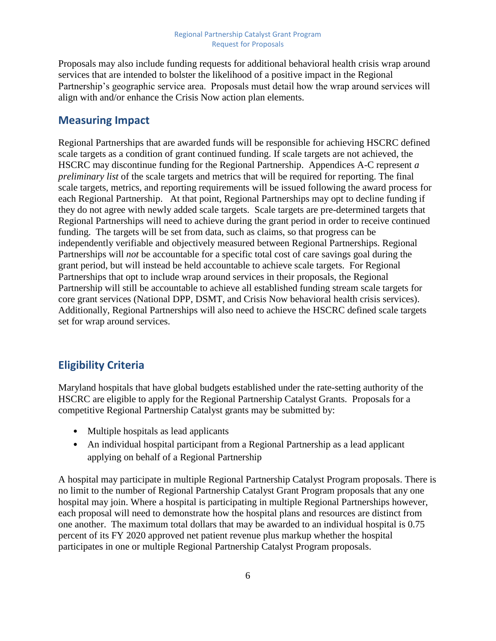Proposals may also include funding requests for additional behavioral health crisis wrap around services that are intended to bolster the likelihood of a positive impact in the Regional Partnership's geographic service area. Proposals must detail how the wrap around services will align with and/or enhance the Crisis Now action plan elements.

### <span id="page-6-0"></span>**Measuring Impact**

Regional Partnerships that are awarded funds will be responsible for achieving HSCRC defined scale targets as a condition of grant continued funding. If scale targets are not achieved, the HSCRC may discontinue funding for the Regional Partnership. Appendices A-C represent *a preliminary list* of the scale targets and metrics that will be required for reporting. The final scale targets, metrics, and reporting requirements will be issued following the award process for each Regional Partnership. At that point, Regional Partnerships may opt to decline funding if they do not agree with newly added scale targets. Scale targets are pre-determined targets that Regional Partnerships will need to achieve during the grant period in order to receive continued funding. The targets will be set from data, such as claims, so that progress can be independently verifiable and objectively measured between Regional Partnerships. Regional Partnerships will *not* be accountable for a specific total cost of care savings goal during the grant period, but will instead be held accountable to achieve scale targets. For Regional Partnerships that opt to include wrap around services in their proposals, the Regional Partnership will still be accountable to achieve all established funding stream scale targets for core grant services (National DPP, DSMT, and Crisis Now behavioral health crisis services). Additionally, Regional Partnerships will also need to achieve the HSCRC defined scale targets set for wrap around services.

## <span id="page-6-1"></span>**Eligibility Criteria**

Maryland hospitals that have global budgets established under the rate-setting authority of the HSCRC are eligible to apply for the Regional Partnership Catalyst Grants. Proposals for a competitive Regional Partnership Catalyst grants may be submitted by:

- Multiple hospitals as lead applicants
- An individual hospital participant from a Regional Partnership as a lead applicant applying on behalf of a Regional Partnership

A hospital may participate in multiple Regional Partnership Catalyst Program proposals. There is no limit to the number of Regional Partnership Catalyst Grant Program proposals that any one hospital may join. Where a hospital is participating in multiple Regional Partnerships however, each proposal will need to demonstrate how the hospital plans and resources are distinct from one another. The maximum total dollars that may be awarded to an individual hospital is 0.75 percent of its FY 2020 approved net patient revenue plus markup whether the hospital participates in one or multiple Regional Partnership Catalyst Program proposals.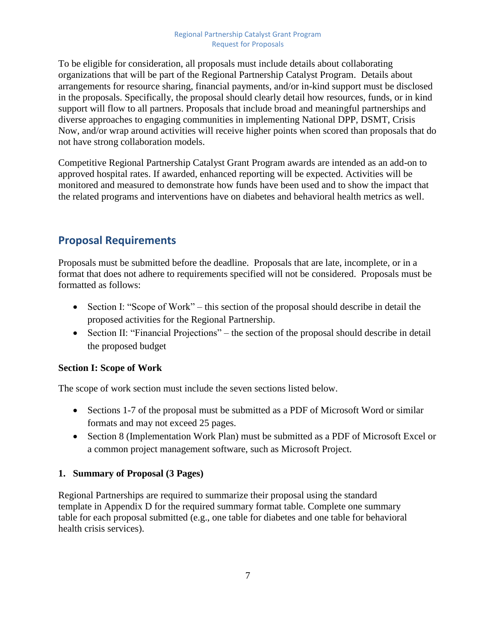To be eligible for consideration, all proposals must include details about collaborating organizations that will be part of the Regional Partnership Catalyst Program. Details about arrangements for resource sharing, financial payments, and/or in-kind support must be disclosed in the proposals. Specifically, the proposal should clearly detail how resources, funds, or in kind support will flow to all partners. Proposals that include broad and meaningful partnerships and diverse approaches to engaging communities in implementing National DPP, DSMT, Crisis Now, and/or wrap around activities will receive higher points when scored than proposals that do not have strong collaboration models.

Competitive Regional Partnership Catalyst Grant Program awards are intended as an add-on to approved hospital rates. If awarded, enhanced reporting will be expected. Activities will be monitored and measured to demonstrate how funds have been used and to show the impact that the related programs and interventions have on diabetes and behavioral health metrics as well.

## <span id="page-7-0"></span>**Proposal Requirements**

Proposals must be submitted before the deadline. Proposals that are late, incomplete, or in a format that does not adhere to requirements specified will not be considered. Proposals must be formatted as follows:

- Section I: "Scope of Work" this section of the proposal should describe in detail the proposed activities for the Regional Partnership.
- Section II: "Financial Projections" the section of the proposal should describe in detail the proposed budget

### **Section I: Scope of Work**

The scope of work section must include the seven sections listed below.

- Sections 1-7 of the proposal must be submitted as a PDF of Microsoft Word or similar formats and may not exceed 25 pages.
- Section 8 (Implementation Work Plan) must be submitted as a PDF of Microsoft Excel or a common project management software, such as Microsoft Project.

### **1. Summary of Proposal (3 Pages)**

Regional Partnerships are required to summarize their proposal using the standard template in Appendix D for the required summary format table. Complete one summary table for each proposal submitted (e.g., one table for diabetes and one table for behavioral health crisis services).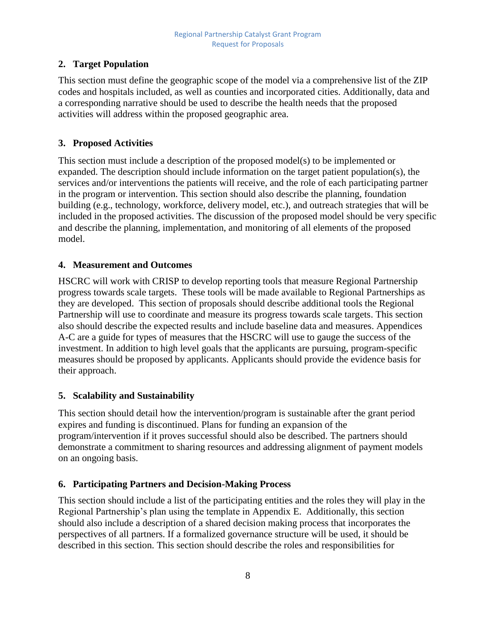## **2. Target Population**

This section must define the geographic scope of the model via a comprehensive list of the ZIP codes and hospitals included, as well as counties and incorporated cities. Additionally, data and a corresponding narrative should be used to describe the health needs that the proposed activities will address within the proposed geographic area.

### **3. Proposed Activities**

This section must include a description of the proposed model(s) to be implemented or expanded. The description should include information on the target patient population(s), the services and/or interventions the patients will receive, and the role of each participating partner in the program or intervention. This section should also describe the planning, foundation building (e.g., technology, workforce, delivery model, etc.), and outreach strategies that will be included in the proposed activities. The discussion of the proposed model should be very specific and describe the planning, implementation, and monitoring of all elements of the proposed model.

## **4. Measurement and Outcomes**

HSCRC will work with CRISP to develop reporting tools that measure Regional Partnership progress towards scale targets. These tools will be made available to Regional Partnerships as they are developed. This section of proposals should describe additional tools the Regional Partnership will use to coordinate and measure its progress towards scale targets. This section also should describe the expected results and include baseline data and measures. Appendices A-C are a guide for types of measures that the HSCRC will use to gauge the success of the investment. In addition to high level goals that the applicants are pursuing, program-specific measures should be proposed by applicants. Applicants should provide the evidence basis for their approach.

## **5. Scalability and Sustainability**

This section should detail how the intervention/program is sustainable after the grant period expires and funding is discontinued. Plans for funding an expansion of the program/intervention if it proves successful should also be described. The partners should demonstrate a commitment to sharing resources and addressing alignment of payment models on an ongoing basis.

### **6. Participating Partners and Decision-Making Process**

This section should include a list of the participating entities and the roles they will play in the Regional Partnership's plan using the template in Appendix E. Additionally, this section should also include a description of a shared decision making process that incorporates the perspectives of all partners. If a formalized governance structure will be used, it should be described in this section. This section should describe the roles and responsibilities for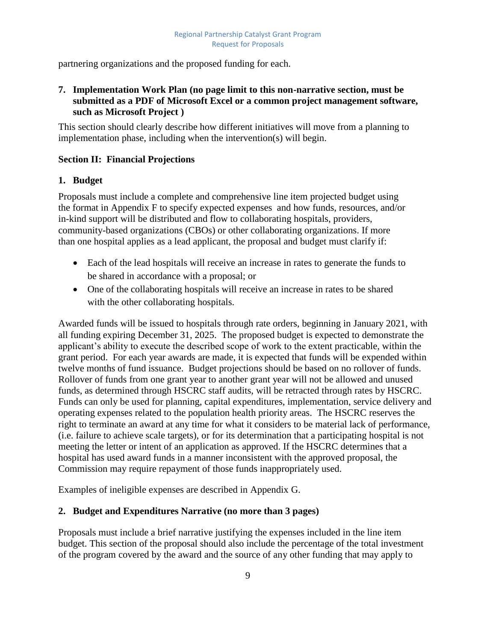partnering organizations and the proposed funding for each.

#### **7. Implementation Work Plan (no page limit to this non-narrative section, must be submitted as a PDF of Microsoft Excel or a common project management software, such as Microsoft Project )**

This section should clearly describe how different initiatives will move from a planning to implementation phase, including when the intervention(s) will begin.

#### **Section II: Financial Projections**

#### **1. Budget**

Proposals must include a complete and comprehensive line item projected budget using the format in Appendix F to specify expected expenses and how funds, resources, and/or in-kind support will be distributed and flow to collaborating hospitals, providers, community-based organizations (CBOs) or other collaborating organizations. If more than one hospital applies as a lead applicant, the proposal and budget must clarify if:

- Each of the lead hospitals will receive an increase in rates to generate the funds to be shared in accordance with a proposal; or
- One of the collaborating hospitals will receive an increase in rates to be shared with the other collaborating hospitals.

Awarded funds will be issued to hospitals through rate orders, beginning in January 2021, with all funding expiring December 31, 2025. The proposed budget is expected to demonstrate the applicant's ability to execute the described scope of work to the extent practicable, within the grant period. For each year awards are made, it is expected that funds will be expended within twelve months of fund issuance. Budget projections should be based on no rollover of funds. Rollover of funds from one grant year to another grant year will not be allowed and unused funds, as determined through HSCRC staff audits, will be retracted through rates by HSCRC. Funds can only be used for planning, capital expenditures, implementation, service delivery and operating expenses related to the population health priority areas. The HSCRC reserves the right to terminate an award at any time for what it considers to be material lack of performance, (i.e. failure to achieve scale targets), or for its determination that a participating hospital is not meeting the letter or intent of an application as approved. If the HSCRC determines that a hospital has used award funds in a manner inconsistent with the approved proposal, the Commission may require repayment of those funds inappropriately used.

Examples of ineligible expenses are described in Appendix G.

#### **2. Budget and Expenditures Narrative (no more than 3 pages)**

Proposals must include a brief narrative justifying the expenses included in the line item budget. This section of the proposal should also include the percentage of the total investment of the program covered by the award and the source of any other funding that may apply to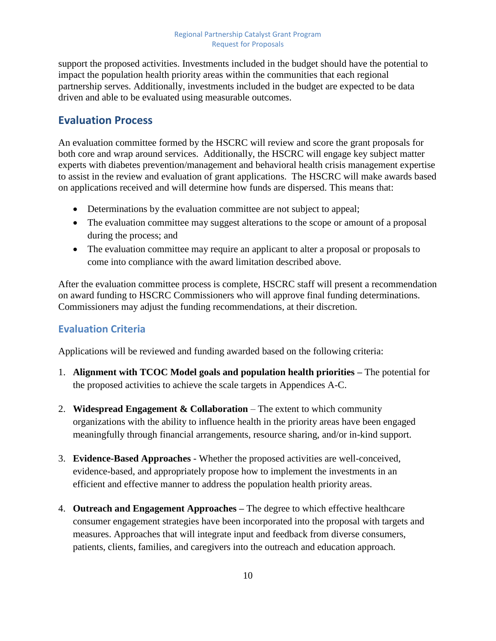support the proposed activities. Investments included in the budget should have the potential to impact the population health priority areas within the communities that each regional partnership serves. Additionally, investments included in the budget are expected to be data driven and able to be evaluated using measurable outcomes.

## <span id="page-10-0"></span>**Evaluation Process**

An evaluation committee formed by the HSCRC will review and score the grant proposals for both core and wrap around services. Additionally, the HSCRC will engage key subject matter experts with diabetes prevention/management and behavioral health crisis management expertise to assist in the review and evaluation of grant applications. The HSCRC will make awards based on applications received and will determine how funds are dispersed. This means that:

- Determinations by the evaluation committee are not subject to appeal;
- The evaluation committee may suggest alterations to the scope or amount of a proposal during the process; and
- The evaluation committee may require an applicant to alter a proposal or proposals to come into compliance with the award limitation described above.

After the evaluation committee process is complete, HSCRC staff will present a recommendation on award funding to HSCRC Commissioners who will approve final funding determinations. Commissioners may adjust the funding recommendations, at their discretion.

## <span id="page-10-1"></span>**Evaluation Criteria**

Applications will be reviewed and funding awarded based on the following criteria:

- 1. **Alignment with TCOC Model goals and population health priorities –** The potential for the proposed activities to achieve the scale targets in Appendices A-C.
- 2. **Widespread Engagement & Collaboration** The extent to which community organizations with the ability to influence health in the priority areas have been engaged meaningfully through financial arrangements, resource sharing, and/or in-kind support.
- 3. **Evidence-Based Approaches** Whether the proposed activities are well-conceived, evidence-based, and appropriately propose how to implement the investments in an efficient and effective manner to address the population health priority areas.
- 4. **Outreach and Engagement Approaches –** The degree to which effective healthcare consumer engagement strategies have been incorporated into the proposal with targets and measures. Approaches that will integrate input and feedback from diverse consumers, patients, clients, families, and caregivers into the outreach and education approach.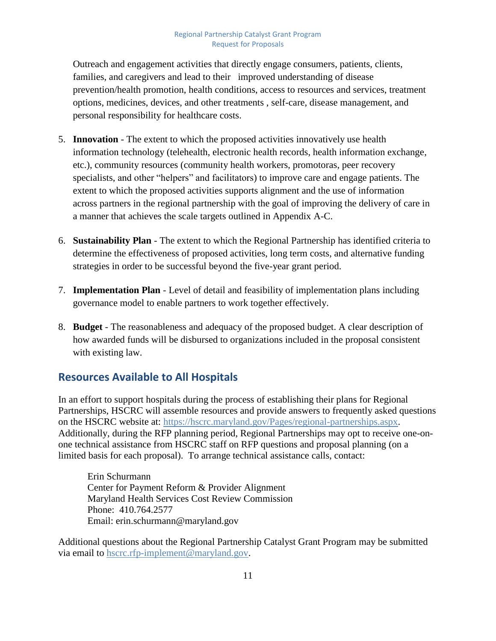Outreach and engagement activities that directly engage consumers, patients, clients, families, and caregivers and lead to their improved understanding of disease prevention/health promotion, health conditions, access to resources and services, treatment options, medicines, devices, and other treatments , self-care, disease management, and personal responsibility for healthcare costs.

- 5. **Innovation** The extent to which the proposed activities innovatively use health information technology (telehealth, electronic health records, health information exchange, etc.), community resources (community health workers, promotoras, peer recovery specialists, and other "helpers" and facilitators) to improve care and engage patients. The extent to which the proposed activities supports alignment and the use of information across partners in the regional partnership with the goal of improving the delivery of care in a manner that achieves the scale targets outlined in Appendix A-C.
- 6. **Sustainability Plan** The extent to which the Regional Partnership has identified criteria to determine the effectiveness of proposed activities, long term costs, and alternative funding strategies in order to be successful beyond the five-year grant period.
- 7. **Implementation Plan** Level of detail and feasibility of implementation plans including governance model to enable partners to work together effectively.
- 8. **Budget** The reasonableness and adequacy of the proposed budget. A clear description of how awarded funds will be disbursed to organizations included in the proposal consistent with existing law.

## <span id="page-11-0"></span>**Resources Available to All Hospitals**

In an effort to support hospitals during the process of establishing their plans for Regional Partnerships, HSCRC will assemble resources and provide answers to frequently asked questions on the HSCRC website at: [https://hscrc.maryland.gov/Pages/regional-partnerships.aspx.](https://hscrc.maryland.gov/Pages/regional-partnerships.aspx) Additionally, during the RFP planning period, Regional Partnerships may opt to receive one-onone technical assistance from HSCRC staff on RFP questions and proposal planning (on a limited basis for each proposal). To arrange technical assistance calls, contact:

Erin Schurmann Center for Payment Reform & Provider Alignment Maryland Health Services Cost Review Commission Phone: 410.764.2577 Email: erin.schurmann@maryland.gov

Additional questions about the Regional Partnership Catalyst Grant Program may be submitted via email to [hscrc.rfp-implement@maryland.gov.](mailto:hscrc.rfp-implement@maryland.gov)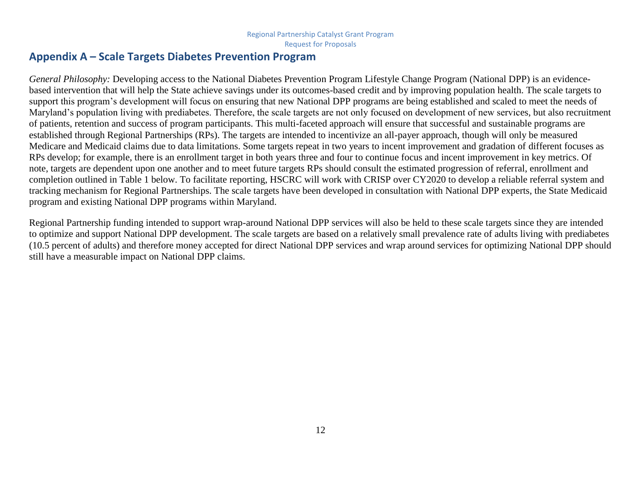## **Appendix A – Scale Targets Diabetes Prevention Program**

*General Philosophy:* Developing access to the National Diabetes Prevention Program Lifestyle Change Program (National DPP) is an evidencebased intervention that will help the State achieve savings under its outcomes-based credit and by improving population health. The scale targets to support this program's development will focus on ensuring that new National DPP programs are being established and scaled to meet the needs of Maryland's population living with prediabetes. Therefore, the scale targets are not only focused on development of new services, but also recruitment of patients, retention and success of program participants. This multi-faceted approach will ensure that successful and sustainable programs are established through Regional Partnerships (RPs). The targets are intended to incentivize an all-payer approach, though will only be measured Medicare and Medicaid claims due to data limitations. Some targets repeat in two years to incent improvement and gradation of different focuses as RPs develop; for example, there is an enrollment target in both years three and four to continue focus and incent improvement in key metrics. Of note, targets are dependent upon one another and to meet future targets RPs should consult the estimated progression of referral, enrollment and completion outlined in Table 1 below. To facilitate reporting, HSCRC will work with CRISP over CY2020 to develop a reliable referral system and tracking mechanism for Regional Partnerships. The scale targets have been developed in consultation with National DPP experts, the State Medicaid program and existing National DPP programs within Maryland.

<span id="page-12-0"></span>Regional Partnership funding intended to support wrap-around National DPP services will also be held to these scale targets since they are intended to optimize and support National DPP development. The scale targets are based on a relatively small prevalence rate of adults living with prediabetes (10.5 percent of adults) and therefore money accepted for direct National DPP services and wrap around services for optimizing National DPP should still have a measurable impact on National DPP claims.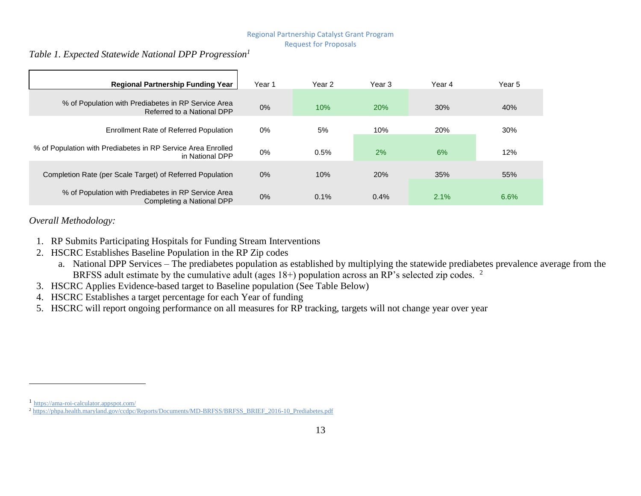#### *Table 1. Expected Statewide National DPP Progression<sup>1</sup>*

| <b>Regional Partnership Funding Year</b>                                          | Year 1 | Year 2 | Year 3 | Year 4 | Year 5 |
|-----------------------------------------------------------------------------------|--------|--------|--------|--------|--------|
| % of Population with Prediabetes in RP Service Area<br>Referred to a National DPP | 0%     | 10%    | 20%    | 30%    | 40%    |
| <b>Enrollment Rate of Referred Population</b>                                     | 0%     | 5%     | 10%    | 20%    | 30%    |
| % of Population with Prediabetes in RP Service Area Enrolled<br>in National DPP   | $0\%$  | 0.5%   | 2%     | 6%     | 12%    |
| Completion Rate (per Scale Target) of Referred Population                         | $0\%$  | 10%    | 20%    | 35%    | 55%    |
| % of Population with Prediabetes in RP Service Area<br>Completing a National DPP  | 0%     | 0.1%   | 0.4%   | 2.1%   | 6.6%   |

#### *Overall Methodology:*

- 1. RP Submits Participating Hospitals for Funding Stream Interventions
- 2. HSCRC Establishes Baseline Population in the RP Zip codes
	- a. National DPP Services The prediabetes population as established by multiplying the statewide prediabetes prevalence average from the BRFSS adult estimate by the cumulative adult (ages 18+) population across an RP's selected zip codes. <sup>2</sup>
- 3. HSCRC Applies Evidence-based target to Baseline population (See Table Below)
- 4. HSCRC Establishes a target percentage for each Year of funding
- 5. HSCRC will report ongoing performance on all measures for RP tracking, targets will not change year over year

<sup>1</sup> <https://ama-roi-calculator.appspot.com/>

<sup>&</sup>lt;sup>2</sup> [https://phpa.health.maryland.gov/ccdpc/Reports/Documents/MD-BRFSS/BRFSS\\_BRIEF\\_2016-10\\_Prediabetes.pdf](https://phpa.health.maryland.gov/ccdpc/Reports/Documents/MD-BRFSS/BRFSS_BRIEF_2016-10_Prediabetes.pdf)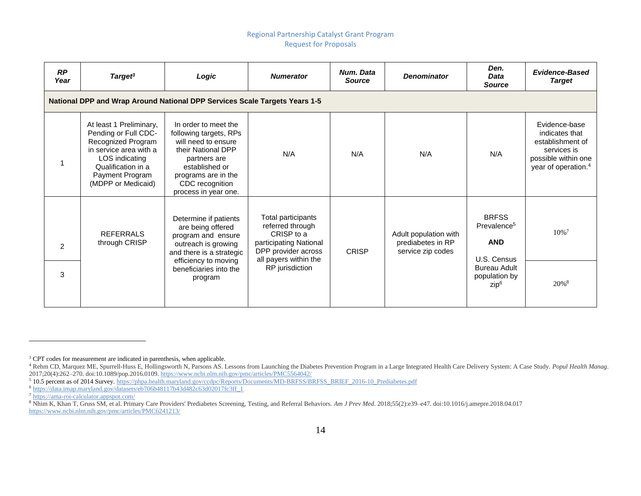| RP<br>Year     | Target <sup>3</sup>                                                                                                                                                              | Logic                                                                                                                                                                                           | <b>Numerator</b>                                                                                                               | Num. Data<br><b>Source</b> | <b>Denominator</b>                                              | Den.<br><b>Data</b><br><b>Source</b>                                 | <b>Evidence-Based</b><br><b>Target</b>                                                                                       |
|----------------|----------------------------------------------------------------------------------------------------------------------------------------------------------------------------------|-------------------------------------------------------------------------------------------------------------------------------------------------------------------------------------------------|--------------------------------------------------------------------------------------------------------------------------------|----------------------------|-----------------------------------------------------------------|----------------------------------------------------------------------|------------------------------------------------------------------------------------------------------------------------------|
|                | <b>National DPP and Wrap Around National DPP Services Scale Targets Years 1-5</b>                                                                                                |                                                                                                                                                                                                 |                                                                                                                                |                            |                                                                 |                                                                      |                                                                                                                              |
|                | At least 1 Preliminary,<br>Pending or Full CDC-<br>Recognized Program<br>in service area with a<br>LOS indicating<br>Qualification in a<br>Payment Program<br>(MDPP or Medicaid) | In order to meet the<br>following targets, RPs<br>will need to ensure<br>their National DPP<br>partners are<br>established or<br>programs are in the<br>CDC recognition<br>process in year one. | N/A                                                                                                                            | N/A                        | N/A                                                             | N/A                                                                  | Evidence-base<br>indicates that<br>establishment of<br>services is<br>possible within one<br>year of operation. <sup>4</sup> |
| $\mathfrak{p}$ | <b>REFERRALS</b><br>through CRISP                                                                                                                                                | Determine if patients<br>are being offered<br>program and ensure<br>outreach is growing<br>and there is a strategic<br>efficiency to moving                                                     | Total participants<br>referred through<br>CRISP to a<br>participating National<br>DPP provider across<br>all payers within the | <b>CRISP</b>               | Adult population with<br>prediabetes in RP<br>service zip codes | <b>BRFSS</b><br>Prevalence <sup>5</sup><br><b>AND</b><br>U.S. Census | $10\%$ <sup>7</sup>                                                                                                          |
| 3              |                                                                                                                                                                                  | beneficiaries into the<br>program                                                                                                                                                               | RP jurisdiction                                                                                                                |                            |                                                                 | <b>Bureau Adult</b><br>population by<br>zip <sup>6</sup>             | $20\%$ <sup>8</sup>                                                                                                          |

<sup>&</sup>lt;sup>3</sup> CPT codes for measurement are indicated in parenthesis, when applicable.

<sup>4</sup> Rehm CD, Marquez ME, Spurrell-Huss E, Hollingsworth N, Parsons AS. Lessons from Launching the Diabetes Prevention Program in a Large Integrated Health Care Delivery System: A Case Study. *Popul Health Manag*. 2017;20(4):262–270. doi:10.1089/pop.2016.0109[. https://www.ncbi.nlm.nih.gov/pmc/articles/PMC5564042/](https://www.ncbi.nlm.nih.gov/pmc/articles/PMC5564042/)

<sup>5</sup> 10.5 percent as of 2014 Survey. [https://phpa.health.maryland.gov/ccdpc/Reports/Documents/MD-BRFSS/BRFSS\\_BRIEF\\_2016-10\\_Prediabetes.pdf](https://phpa.health.maryland.gov/ccdpc/Reports/Documents/MD-BRFSS/BRFSS_BRIEF_2016-10_Prediabetes.pdf)

<sup>6</sup> [https://data.imap.maryland.gov/datasets/eb706b48117b43d482c63d02017fc3ff\\_1](https://data.imap.maryland.gov/datasets/eb706b48117b43d482c63d02017fc3ff_1)

<sup>7</sup> <https://ama-roi-calculator.appspot.com/>

<sup>8</sup> Nhim K, Khan T, Gruss SM, et al. Primary Care Providers' Prediabetes Screening, Testing, and Referral Behaviors. *Am J Prev Med*. 2018;55(2):e39–e47. doi:10.1016/j.amepre.2018.04.017 <https://www.ncbi.nlm.nih.gov/pmc/articles/PMC6241213/>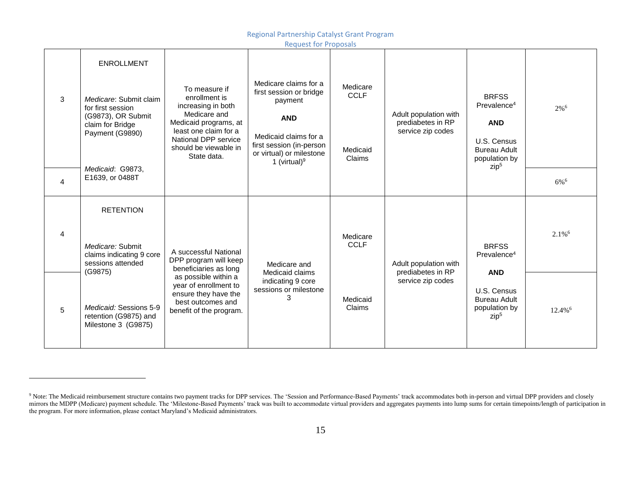Regional Partnership Catalyst Grant Program

Request for Proposals

|                | <b>ENROLLMENT</b>                                                                                        |                                                                                                                                                                                        |                                                                                                                                                                               |                                               |                                                                 |                                                                                                                                  |                       |
|----------------|----------------------------------------------------------------------------------------------------------|----------------------------------------------------------------------------------------------------------------------------------------------------------------------------------------|-------------------------------------------------------------------------------------------------------------------------------------------------------------------------------|-----------------------------------------------|-----------------------------------------------------------------|----------------------------------------------------------------------------------------------------------------------------------|-----------------------|
| 3              | Medicare: Submit claim<br>for first session<br>(G9873), OR Submit<br>claim for Bridge<br>Payment (G9890) | To measure if<br>enrollment is<br>increasing in both<br>Medicare and<br>Medicaid programs, at<br>least one claim for a<br>National DPP service<br>should be viewable in<br>State data. | Medicare claims for a<br>first session or bridge<br>payment<br><b>AND</b><br>Medicaid claims for a<br>first session (in-person<br>or virtual) or milestone<br>1 (virtual) $9$ | Medicare<br><b>CCLF</b><br>Medicaid<br>Claims | Adult population with<br>prediabetes in RP<br>service zip codes | <b>BRFSS</b><br>Prevalence <sup>4</sup><br><b>AND</b><br>U.S. Census<br><b>Bureau Adult</b><br>population by<br>zip <sup>5</sup> | 2% <sup>6</sup>       |
| $\overline{4}$ | Medicaid: G9873,<br>E1639, or 0488T                                                                      |                                                                                                                                                                                        |                                                                                                                                                                               |                                               |                                                                 |                                                                                                                                  | $6\%$ <sup>6</sup>    |
|                | <b>RETENTION</b>                                                                                         |                                                                                                                                                                                        |                                                                                                                                                                               |                                               |                                                                 |                                                                                                                                  |                       |
| 4              | Medicare: Submit<br>claims indicating 9 core<br>sessions attended                                        | A successful National<br>DPP program will keep<br>beneficiaries as long                                                                                                                | Medicare and                                                                                                                                                                  | Medicare<br><b>CCLF</b>                       | Adult population with                                           | <b>BRFSS</b><br>Prevalence <sup>4</sup>                                                                                          | $2.1\%$ <sup>6</sup>  |
| 5              | (G9875)<br>Medicaid: Sessions 5-9<br>retention (G9875) and<br>Milestone 3 (G9875)                        | as possible within a<br>year of enrollment to<br>ensure they have the<br>best outcomes and<br>benefit of the program.                                                                  | Medicaid claims<br>indicating 9 core<br>sessions or milestone<br>3                                                                                                            | Medicaid<br>Claims                            | prediabetes in RP<br>service zip codes                          | <b>AND</b><br>U.S. Census<br><b>Bureau Adult</b><br>population by<br>zip <sup>5</sup>                                            | $12.4\%$ <sup>6</sup> |

<sup>&</sup>lt;sup>9</sup> Note: The Medicaid reimbursement structure contains two payment tracks for DPP services. The 'Session and Performance-Based Payments' track accommodates both in-person and virtual DPP providers and closely mirrors the MDPP (Medicare) payment schedule. The 'Milestone-Based Payments' track was built to accommodate virtual providers and aggregates payments into lump sums for certain timepoints/length of participation in the program. For more information, please contact Maryland's Medicaid administrators.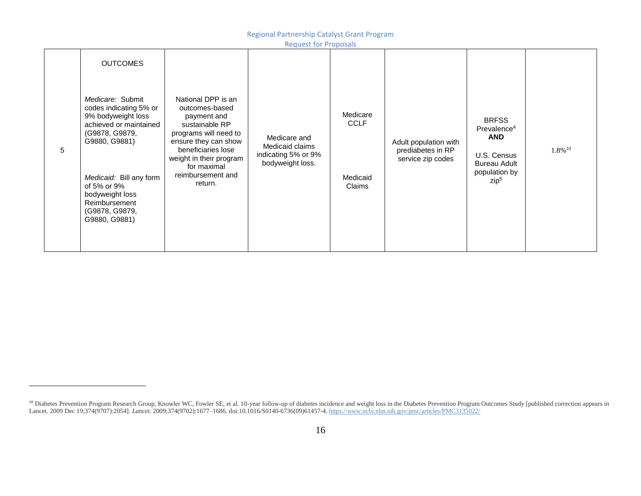Regional Partnership Catalyst Grant Program

<sup>&</sup>lt;sup>10</sup> Diabetes Prevention Program Research Group, Knowler WC, Fowler SE, et al. 10-year follow-up of diabetes incidence and weight loss in the Diabetes Prevention Program Outcomes Study [published correction appears in Lancet. 2009 Dec 19;374(9707):2054]. *Lancet*. 2009;374(9702):1677–1686. doi:10.1016/S0140-6736(09)61457-4[. https://www.ncbi.nlm.nih.gov/pmc/articles/PMC3135022/](https://www.ncbi.nlm.nih.gov/pmc/articles/PMC3135022/)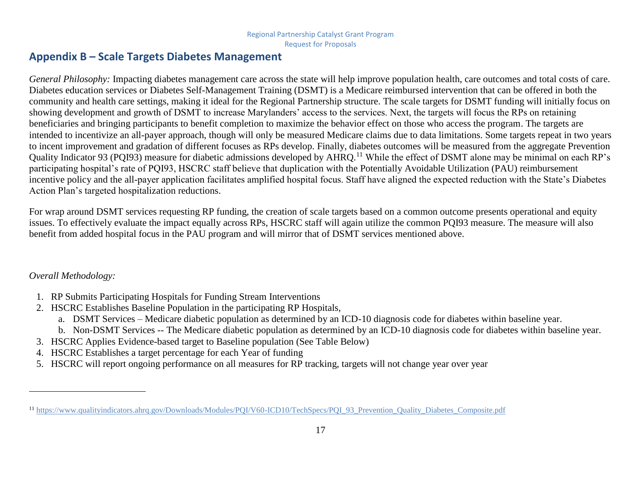## **Appendix B – Scale Targets Diabetes Management**

*General Philosophy:* Impacting diabetes management care across the state will help improve population health, care outcomes and total costs of care. Diabetes education services or Diabetes Self-Management Training (DSMT) is a Medicare reimbursed intervention that can be offered in both the community and health care settings, making it ideal for the Regional Partnership structure*.* The scale targets for DSMT funding will initially focus on showing development and growth of DSMT to increase Marylanders' access to the services. Next, the targets will focus the RPs on retaining beneficiaries and bringing participants to benefit completion to maximize the behavior effect on those who access the program. The targets are intended to incentivize an all-payer approach, though will only be measured Medicare claims due to data limitations. Some targets repeat in two years to incent improvement and gradation of different focuses as RPs develop. Finally, diabetes outcomes will be measured from the aggregate Prevention Quality Indicator 93 (PQI93) measure for diabetic admissions developed by AHRQ.<sup>11</sup> While the effect of DSMT alone may be minimal on each RP's participating hospital's rate of PQI93, HSCRC staff believe that duplication with the Potentially Avoidable Utilization (PAU) reimbursement incentive policy and the all-payer application facilitates amplified hospital focus. Staff have aligned the expected reduction with the State's Diabetes Action Plan's targeted hospitalization reductions.

<span id="page-17-0"></span>For wrap around DSMT services requesting RP funding, the creation of scale targets based on a common outcome presents operational and equity issues. To effectively evaluate the impact equally across RPs, HSCRC staff will again utilize the common PQI93 measure. The measure will also benefit from added hospital focus in the PAU program and will mirror that of DSMT services mentioned above.

## *Overall Methodology:*

- 1. RP Submits Participating Hospitals for Funding Stream Interventions
- 2. HSCRC Establishes Baseline Population in the participating RP Hospitals,
	- a. DSMT Services Medicare diabetic population as determined by an ICD-10 diagnosis code for diabetes within baseline year.
	- b. Non-DSMT Services -- The Medicare diabetic population as determined by an ICD-10 diagnosis code for diabetes within baseline year.
- 3. HSCRC Applies Evidence-based target to Baseline population (See Table Below)
- 4. HSCRC Establishes a target percentage for each Year of funding
- 5. HSCRC will report ongoing performance on all measures for RP tracking, targets will not change year over year

<sup>&</sup>lt;sup>11</sup> [https://www.qualityindicators.ahrq.gov/Downloads/Modules/PQI/V60-ICD10/TechSpecs/PQI\\_93\\_Prevention\\_Quality\\_Diabetes\\_Composite.pdf](https://www.qualityindicators.ahrq.gov/Downloads/Modules/PQI/V60-ICD10/TechSpecs/PQI_93_Prevention_Quality_Diabetes_Composite.pdf)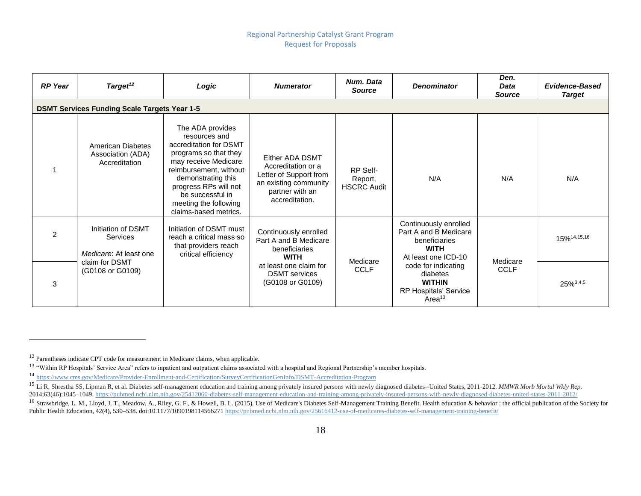| <b>RP</b> Year | Target <sup>12</sup>                                            | Logic                                                                                                                                                                                                                                                       | <b>Numerator</b>                                                                                                              | Num. Data<br><b>Source</b>                | <b>Denominator</b>                                                                                    | Den.<br><b>Data</b><br><b>Source</b> | <b>Evidence-Based</b><br><b>Target</b> |
|----------------|-----------------------------------------------------------------|-------------------------------------------------------------------------------------------------------------------------------------------------------------------------------------------------------------------------------------------------------------|-------------------------------------------------------------------------------------------------------------------------------|-------------------------------------------|-------------------------------------------------------------------------------------------------------|--------------------------------------|----------------------------------------|
|                | <b>DSMT Services Funding Scale Targets Year 1-5</b>             |                                                                                                                                                                                                                                                             |                                                                                                                               |                                           |                                                                                                       |                                      |                                        |
|                | American Diabetes<br>Association (ADA)<br>Accreditation         | The ADA provides<br>resources and<br>accreditation for DSMT<br>programs so that they<br>may receive Medicare<br>reimbursement, without<br>demonstrating this<br>progress RPs will not<br>be successful in<br>meeting the following<br>claims-based metrics. | Either ADA DSMT<br>Accreditation or a<br>Letter of Support from<br>an existing community<br>partner with an<br>accreditation. | RP Self-<br>Report,<br><b>HSCRC Audit</b> | N/A                                                                                                   | N/A                                  | N/A                                    |
| 2              | Initiation of DSMT<br><b>Services</b><br>Medicare: At least one | Initiation of DSMT must<br>reach a critical mass so<br>that providers reach<br>critical efficiency                                                                                                                                                          | Continuously enrolled<br>Part A and B Medicare<br>beneficiaries<br><b>WITH</b>                                                | Medicare                                  | Continuously enrolled<br>Part A and B Medicare<br>beneficiaries<br><b>WITH</b><br>At least one ICD-10 | Medicare                             | 15% <sup>14,15,16</sup>                |
| 3              | claim for DSMT<br>(G0108 or G0109)                              |                                                                                                                                                                                                                                                             | at least one claim for<br><b>DSMT</b> services<br>(G0108 or G0109)                                                            | <b>CCLF</b>                               | code for indicating<br>diabetes<br><b>WITHIN</b><br>RP Hospitals' Service<br>Area <sup>13</sup>       | <b>CCLF</b>                          | 25% 3,4,5                              |

<sup>&</sup>lt;sup>12</sup> Parentheses indicate CPT code for measurement in Medicare claims, when applicable.

<sup>&</sup>lt;sup>13</sup> "Within RP Hospitals' Service Area" refers to inpatient and outpatient claims associated with a hospital and Regional Partnership's member hospitals.

<sup>14</sup> <https://www.cms.gov/Medicare/Provider-Enrollment-and-Certification/SurveyCertificationGenInfo/DSMT-Accreditation-Program>

<sup>15</sup> Li R, Shrestha SS, Lipman R, et al. Diabetes self-management education and training among privately insured persons with newly diagnosed diabetes--United States, 2011-2012. *MMWR Morb Mortal Wkly Rep*. 2014;63(46):1045–1049.<https://pubmed.ncbi.nlm.nih.gov/25412060-diabetes-self-management-education-and-training-among-privately-insured-persons-with-newly-diagnosed-diabetes-united-states-2011-2012/>

<sup>&</sup>lt;sup>16</sup> Strawbridge, L. M., Lloyd, J. T., Meadow, A., Riley, G. F., & Howell, B. L. (2015). Use of Medicare's Diabetes Self-Management Training Benefit. Health education & behavior : the official publication of the Society fo Public Health Education, 42(4), 530–538. doi:10.1177/109019811456627[1 https://pubmed.ncbi.nlm.nih.gov/25616412-use-of-medicares-diabetes-self-management-training-benefit/](https://pubmed.ncbi.nlm.nih.gov/25616412-use-of-medicares-diabetes-self-management-training-benefit/)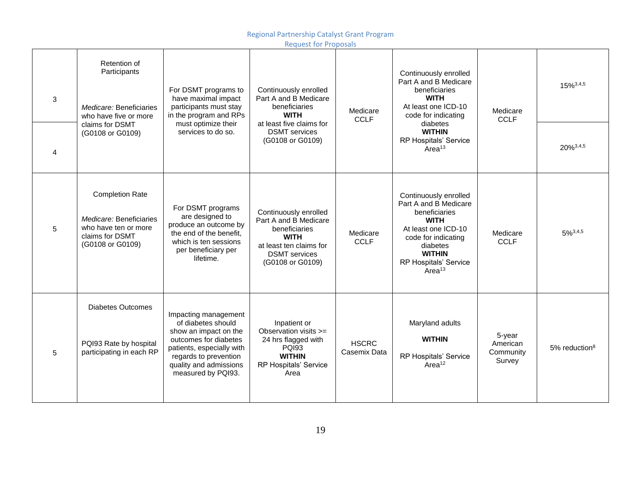Regional Partnership Catalyst Grant Program

|   |                                                                                                                  |                                                                                                                                                                                                    | <b>Request for Proposals</b>                                                                                                                          |                              |                                                                                                                                                                                                          |                                           |                    |
|---|------------------------------------------------------------------------------------------------------------------|----------------------------------------------------------------------------------------------------------------------------------------------------------------------------------------------------|-------------------------------------------------------------------------------------------------------------------------------------------------------|------------------------------|----------------------------------------------------------------------------------------------------------------------------------------------------------------------------------------------------------|-------------------------------------------|--------------------|
| 3 | Retention of<br>Participants<br>Medicare: Beneficiaries<br>who have five or more                                 | For DSMT programs to<br>have maximal impact<br>participants must stay<br>in the program and RPs                                                                                                    | Continuously enrolled<br>Part A and B Medicare<br>beneficiaries<br><b>WITH</b>                                                                        | Medicare<br><b>CCLF</b>      | Continuously enrolled<br>Part A and B Medicare<br>beneficiaries<br><b>WITH</b><br>At least one ICD-10<br>code for indicating                                                                             | Medicare<br><b>CCLF</b>                   | 15% 3,4,5          |
| 4 | claims for DSMT<br>(G0108 or G0109)                                                                              | services to do so.                                                                                                                                                                                 | must optimize their<br><b>DSMT</b> services<br>(G0108 or G0109)                                                                                       | at least five claims for     | diabetes<br><b>WITHIN</b><br><b>RP Hospitals' Service</b><br>Area <sup>13</sup>                                                                                                                          |                                           | 20%3,4,5           |
| 5 | <b>Completion Rate</b><br>Medicare: Beneficiaries<br>who have ten or more<br>claims for DSMT<br>(G0108 or G0109) | For DSMT programs<br>are designed to<br>produce an outcome by<br>the end of the benefit,<br>which is ten sessions<br>per beneficiary per<br>lifetime.                                              | Continuously enrolled<br>Part A and B Medicare<br>beneficiaries<br><b>WITH</b><br>at least ten claims for<br><b>DSMT</b> services<br>(G0108 or G0109) | Medicare<br><b>CCLF</b>      | Continuously enrolled<br>Part A and B Medicare<br>beneficiaries<br><b>WITH</b><br>At least one ICD-10<br>code for indicating<br>diabetes<br><b>WITHIN</b><br>RP Hospitals' Service<br>Area <sup>13</sup> | Medicare<br><b>CCLF</b>                   | $5\%^{3,4,5}$      |
| 5 | <b>Diabetes Outcomes</b><br>PQI93 Rate by hospital<br>participating in each RP                                   | Impacting management<br>of diabetes should<br>show an impact on the<br>outcomes for diabetes<br>patients, especially with<br>regards to prevention<br>quality and admissions<br>measured by PQI93. | Inpatient or<br>Observation visits >=<br>24 hrs flagged with<br><b>PQI93</b><br><b>WITHIN</b><br>RP Hospitals' Service<br>Area                        | <b>HSCRC</b><br>Casemix Data | Maryland adults<br><b>WITHIN</b><br>RP Hospitals' Service<br>Area <sup>12</sup>                                                                                                                          | 5-year<br>American<br>Community<br>Survey | $5%$ reduction $8$ |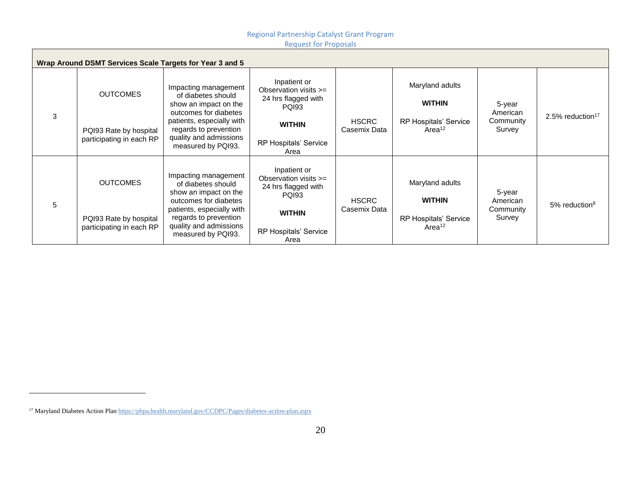|   | Wrap Around DSMT Services Scale Targets for Year 3 and 5              |                                                                                                                                                                                                    |                                                                                                                                         |                              |                                                                                 |                                           |                              |
|---|-----------------------------------------------------------------------|----------------------------------------------------------------------------------------------------------------------------------------------------------------------------------------------------|-----------------------------------------------------------------------------------------------------------------------------------------|------------------------------|---------------------------------------------------------------------------------|-------------------------------------------|------------------------------|
| 3 | <b>OUTCOMES</b><br>PQI93 Rate by hospital<br>participating in each RP | Impacting management<br>of diabetes should<br>show an impact on the<br>outcomes for diabetes<br>patients, especially with<br>regards to prevention<br>quality and admissions<br>measured by PQI93. | Inpatient or<br>Observation visits $>=$<br>24 hrs flagged with<br><b>PQI93</b><br><b>WITHIN</b><br>RP Hospitals' Service<br>Area        | <b>HSCRC</b><br>Casemix Data | Maryland adults<br><b>WITHIN</b><br>RP Hospitals' Service<br>Area <sup>12</sup> | 5-year<br>American<br>Community<br>Survey | 2.5% reduction <sup>17</sup> |
| 5 | <b>OUTCOMES</b><br>PQI93 Rate by hospital<br>participating in each RP | Impacting management<br>of diabetes should<br>show an impact on the<br>outcomes for diabetes<br>patients, especially with<br>regards to prevention<br>quality and admissions<br>measured by PQI93. | Inpatient or<br>Observation visits $>=$<br>24 hrs flagged with<br><b>PQI93</b><br><b>WITHIN</b><br><b>RP Hospitals' Service</b><br>Area | <b>HSCRC</b><br>Casemix Data | Maryland adults<br><b>WITHIN</b><br>RP Hospitals' Service<br>Area <sup>12</sup> | 5-year<br>American<br>Community<br>Survey | $5\%$ reduction <sup>8</sup> |

<sup>&</sup>lt;sup>17</sup> Maryland Diabetes Action Pla[n https://phpa.health.maryland.gov/CCDPC/Pages/diabetes-action-plan.aspx](https://phpa.health.maryland.gov/CCDPC/Pages/diabetes-action-plan.aspx)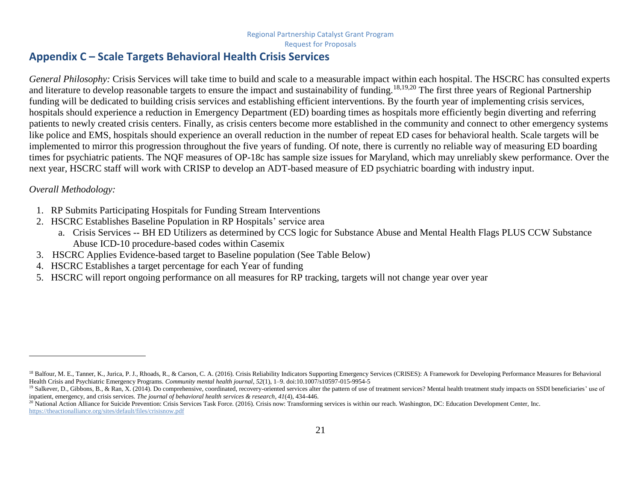## **Appendix C – Scale Targets Behavioral Health Crisis Services**

*General Philosophy:* Crisis Services will take time to build and scale to a measurable impact within each hospital. The HSCRC has consulted experts and literature to develop reasonable targets to ensure the impact and sustainability of funding.<sup>18,19,20</sup> The first three years of Regional Partnership funding will be dedicated to building crisis services and establishing efficient interventions. By the fourth year of implementing crisis services, hospitals should experience a reduction in Emergency Department (ED) boarding times as hospitals more efficiently begin diverting and referring patients to newly created crisis centers. Finally, as crisis centers become more established in the community and connect to other emergency systems like police and EMS, hospitals should experience an overall reduction in the number of repeat ED cases for behavioral health. Scale targets will be implemented to mirror this progression throughout the five years of funding. Of note, there is currently no reliable way of measuring ED boarding times for psychiatric patients. The NQF measures of OP-18c has sample size issues for Maryland, which may unreliably skew performance. Over the next year, HSCRC staff will work with CRISP to develop an ADT-based measure of ED psychiatric boarding with industry input.

#### <span id="page-21-0"></span>*Overall Methodology:*

- 1. RP Submits Participating Hospitals for Funding Stream Interventions
- 2. HSCRC Establishes Baseline Population in RP Hospitals' service area
	- a. Crisis Services -- BH ED Utilizers as determined by CCS logic for Substance Abuse and Mental Health Flags PLUS CCW Substance Abuse ICD-10 procedure-based codes within Casemix
- 3. HSCRC Applies Evidence-based target to Baseline population (See Table Below)
- 4. HSCRC Establishes a target percentage for each Year of funding
- 5. HSCRC will report ongoing performance on all measures for RP tracking, targets will not change year over year

<sup>&</sup>lt;sup>18</sup> Balfour, M. E., Tanner, K., Jurica, P. J., Rhoads, R., & Carson, C. A. (2016). Crisis Reliability Indicators Supporting Emergency Services (CRISES): A Framework for Developing Performance Measures for Behavioral Health Crisis and Psychiatric Emergency Programs. *Community mental health journal*, *52*(1), 1–9. doi:10.1007/s10597-015-9954-5

<sup>&</sup>lt;sup>19</sup> Salkever, D., Gibbons, B., & Ran, X. (2014). Do comprehensive, coordinated, recovery-oriented services alter the pattern of use of treatment services? Mental health treatment study impacts on SSDI beneficiaries' use o inpatient, emergency, and crisis services. *The journal of behavioral health services & research*, *41*(4), 434-446.

<sup>&</sup>lt;sup>20</sup> National Action Alliance for Suicide Prevention: Crisis Services Task Force. (2016). Crisis now: Transforming services is within our reach. Washington, DC: Education Development Center, Inc. <https://theactionalliance.org/sites/default/files/crisisnow.pdf>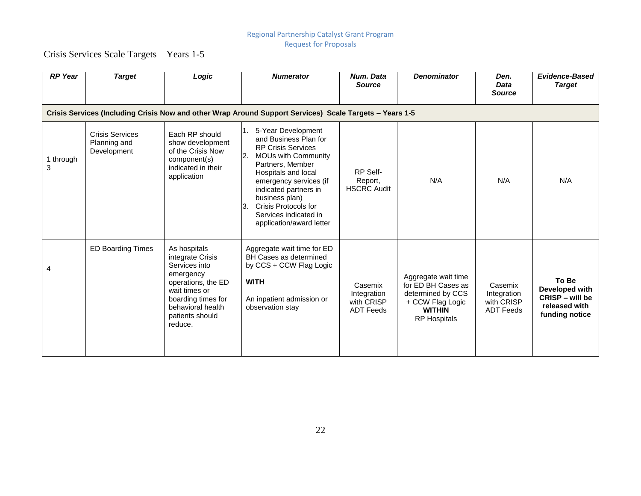Crisis Services Scale Targets – Years 1-5

| <b>RP</b> Year | <b>Target</b>                                         | Logic                                                                                                                                                                          | <b>Numerator</b>                                                                                                                                                                                                                                                                                                | Num. Data<br><b>Source</b>                               | <b>Denominator</b>                                                                                                         | Den.<br><b>Data</b><br><b>Source</b>                     | <b>Evidence-Based</b><br><b>Target</b>                                        |
|----------------|-------------------------------------------------------|--------------------------------------------------------------------------------------------------------------------------------------------------------------------------------|-----------------------------------------------------------------------------------------------------------------------------------------------------------------------------------------------------------------------------------------------------------------------------------------------------------------|----------------------------------------------------------|----------------------------------------------------------------------------------------------------------------------------|----------------------------------------------------------|-------------------------------------------------------------------------------|
|                |                                                       |                                                                                                                                                                                | Crisis Services (Including Crisis Now and other Wrap Around Support Services) Scale Targets - Years 1-5                                                                                                                                                                                                         |                                                          |                                                                                                                            |                                                          |                                                                               |
| 1 through<br>3 | <b>Crisis Services</b><br>Planning and<br>Development | Each RP should<br>show development<br>of the Crisis Now<br>component(s)<br>indicated in their<br>application                                                                   | 5-Year Development<br>1.<br>and Business Plan for<br><b>RP Crisis Services</b><br><b>MOUs with Community</b><br>Partners, Member<br>Hospitals and local<br>emergency services (if<br>indicated partners in<br>business plan)<br>Crisis Protocols for<br>3.<br>Services indicated in<br>application/award letter | RP Self-<br>Report,<br><b>HSCRC Audit</b>                | N/A                                                                                                                        | N/A                                                      | N/A                                                                           |
| 4              | <b>ED Boarding Times</b>                              | As hospitals<br>integrate Crisis<br>Services into<br>emergency<br>operations, the ED<br>wait times or<br>boarding times for<br>behavioral health<br>patients should<br>reduce. | Aggregate wait time for ED<br>BH Cases as determined<br>by CCS + CCW Flag Logic<br><b>WITH</b><br>An inpatient admission or<br>observation stay                                                                                                                                                                 | Casemix<br>Integration<br>with CRISP<br><b>ADT Feeds</b> | Aggregate wait time<br>for ED BH Cases as<br>determined by CCS<br>+ CCW Flag Logic<br><b>WITHIN</b><br><b>RP Hospitals</b> | Casemix<br>Integration<br>with CRISP<br><b>ADT Feeds</b> | To Be<br>Developed with<br>CRISP - will be<br>released with<br>funding notice |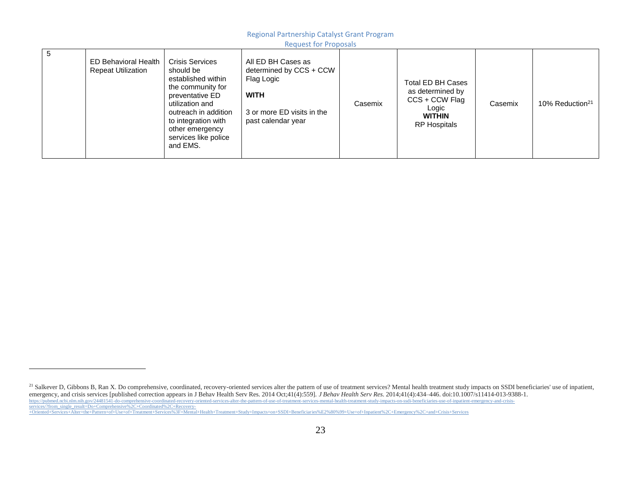#### Regional Partnership Catalyst Grant Program

Request for Proposals

| 5 | <b>ED Behavioral Health</b><br><b>Repeat Utilization</b> | <b>Crisis Services</b><br>should be<br>established within<br>the community for<br>preventative ED<br>utilization and<br>outreach in addition<br>to integration with<br>other emergency<br>services like police<br>and EMS. | All ED BH Cases as<br>determined by CCS + CCW<br>Flag Logic<br><b>WITH</b><br>3 or more ED visits in the<br>past calendar year | Casemix | Total ED BH Cases<br>as determined by<br>CCS + CCW Flag<br>Logic<br><b>WITHIN</b><br><b>RP Hospitals</b> | Casemix | 10% Reduction <sup>21</sup> |
|---|----------------------------------------------------------|----------------------------------------------------------------------------------------------------------------------------------------------------------------------------------------------------------------------------|--------------------------------------------------------------------------------------------------------------------------------|---------|----------------------------------------------------------------------------------------------------------|---------|-----------------------------|
|---|----------------------------------------------------------|----------------------------------------------------------------------------------------------------------------------------------------------------------------------------------------------------------------------------|--------------------------------------------------------------------------------------------------------------------------------|---------|----------------------------------------------------------------------------------------------------------|---------|-----------------------------|

 $\overline{a}$ 

<sup>21</sup> Salkever D, Gibbons B, Ran X. Do comprehensive, coordinated, recovery-oriented services alter the pattern of use of treatment services? Mental health treatment study impacts on SSDI beneficiaries' use of inpatient,

emergency, and crisis services [published correction appears in J Behav Health Serv Res. 2014 Oct;41(4):559]. *J Behav Health Serv Res*. 2014;41(4):434–446. doi:10.1007/s11414-013-9388-1.<br>https://pubmed.ncbi.nlm.nih.gov/24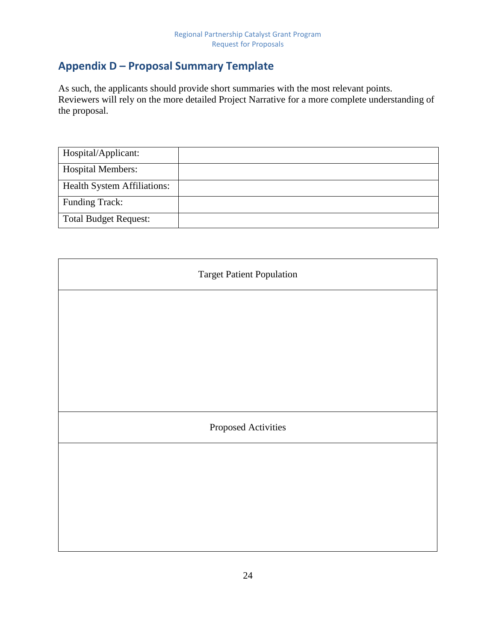## <span id="page-24-0"></span>**Appendix D – Proposal Summary Template**

As such, the applicants should provide short summaries with the most relevant points. Reviewers will rely on the more detailed Project Narrative for a more complete understanding of the proposal.

| Hospital/Applicant:                |  |
|------------------------------------|--|
| <b>Hospital Members:</b>           |  |
| <b>Health System Affiliations:</b> |  |
| <b>Funding Track:</b>              |  |
| <b>Total Budget Request:</b>       |  |

| <b>Target Patient Population</b> |
|----------------------------------|
|                                  |
|                                  |
|                                  |
|                                  |
| Proposed Activities              |
|                                  |
|                                  |
|                                  |
|                                  |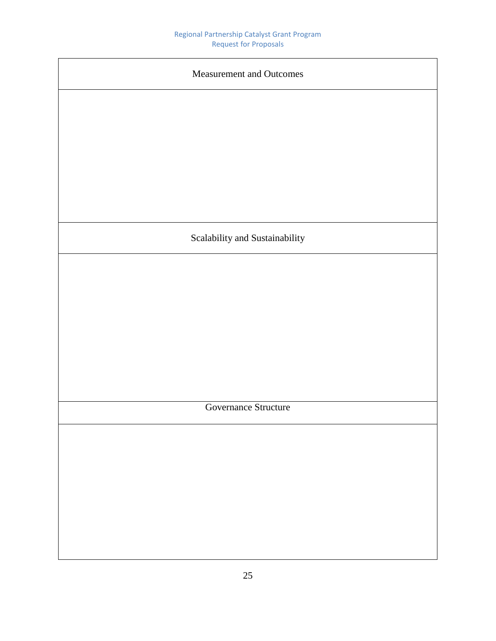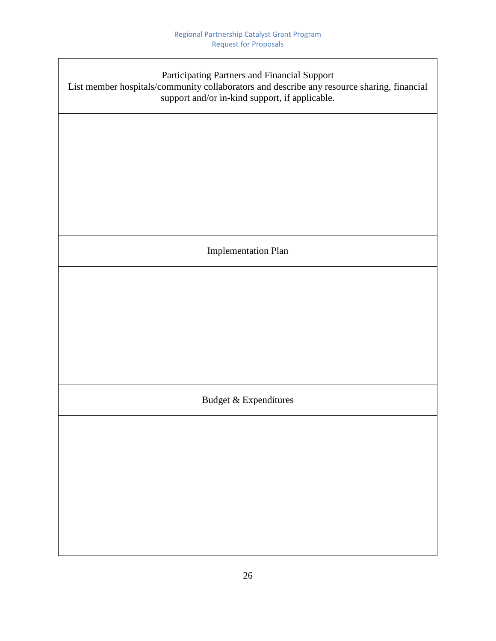| Participating Partners and Financial Support<br>List member hospitals/community collaborators and describe any resource sharing, financial<br>support and/or in-kind support, if applicable. |  |  |
|----------------------------------------------------------------------------------------------------------------------------------------------------------------------------------------------|--|--|
|                                                                                                                                                                                              |  |  |
|                                                                                                                                                                                              |  |  |
|                                                                                                                                                                                              |  |  |
| <b>Implementation Plan</b>                                                                                                                                                                   |  |  |
|                                                                                                                                                                                              |  |  |
|                                                                                                                                                                                              |  |  |
|                                                                                                                                                                                              |  |  |
| Budget & Expenditures                                                                                                                                                                        |  |  |
|                                                                                                                                                                                              |  |  |
|                                                                                                                                                                                              |  |  |
|                                                                                                                                                                                              |  |  |
|                                                                                                                                                                                              |  |  |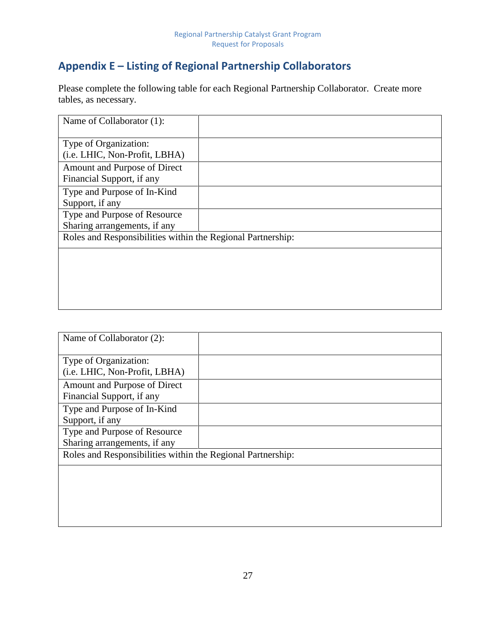## <span id="page-27-0"></span>**Appendix E – Listing of Regional Partnership Collaborators**

Please complete the following table for each Regional Partnership Collaborator. Create more tables, as necessary.

| Name of Collaborator (1):                                    |  |
|--------------------------------------------------------------|--|
| Type of Organization:<br>(i.e. LHIC, Non-Profit, LBHA)       |  |
| Amount and Purpose of Direct<br>Financial Support, if any    |  |
| Type and Purpose of In-Kind<br>Support, if any               |  |
| Type and Purpose of Resource<br>Sharing arrangements, if any |  |
| Roles and Responsibilities within the Regional Partnership:  |  |
|                                                              |  |
|                                                              |  |
|                                                              |  |

| Name of Collaborator (2):                                   |  |
|-------------------------------------------------------------|--|
| Type of Organization:                                       |  |
| (i.e. LHIC, Non-Profit, LBHA)                               |  |
| Amount and Purpose of Direct                                |  |
| Financial Support, if any                                   |  |
| Type and Purpose of In-Kind                                 |  |
| Support, if any                                             |  |
| Type and Purpose of Resource                                |  |
| Sharing arrangements, if any                                |  |
| Roles and Responsibilities within the Regional Partnership: |  |
|                                                             |  |
|                                                             |  |
|                                                             |  |
|                                                             |  |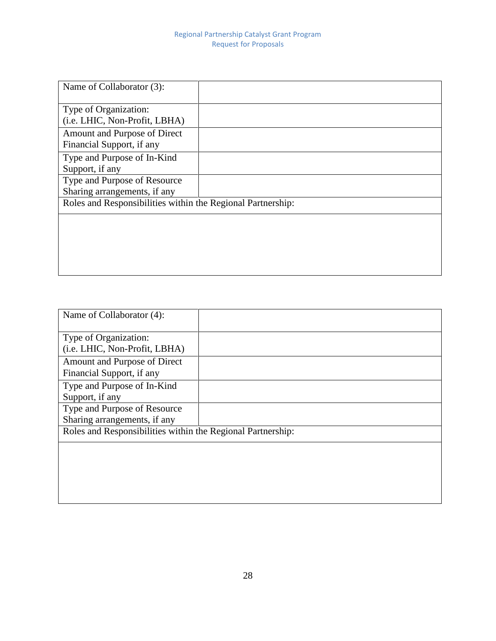| Name of Collaborator (3):                                   |  |
|-------------------------------------------------------------|--|
| Type of Organization:                                       |  |
| (i.e. LHIC, Non-Profit, LBHA)                               |  |
| Amount and Purpose of Direct                                |  |
| Financial Support, if any                                   |  |
| Type and Purpose of In-Kind                                 |  |
| Support, if any                                             |  |
| Type and Purpose of Resource                                |  |
| Sharing arrangements, if any                                |  |
| Roles and Responsibilities within the Regional Partnership: |  |
|                                                             |  |
|                                                             |  |
|                                                             |  |
|                                                             |  |
|                                                             |  |

| Name of Collaborator (4):                                   |  |
|-------------------------------------------------------------|--|
| Type of Organization:                                       |  |
| (i.e. LHIC, Non-Profit, LBHA)                               |  |
| Amount and Purpose of Direct                                |  |
| Financial Support, if any                                   |  |
| Type and Purpose of In-Kind                                 |  |
| Support, if any                                             |  |
| Type and Purpose of Resource                                |  |
| Sharing arrangements, if any                                |  |
| Roles and Responsibilities within the Regional Partnership: |  |
|                                                             |  |
|                                                             |  |
|                                                             |  |
|                                                             |  |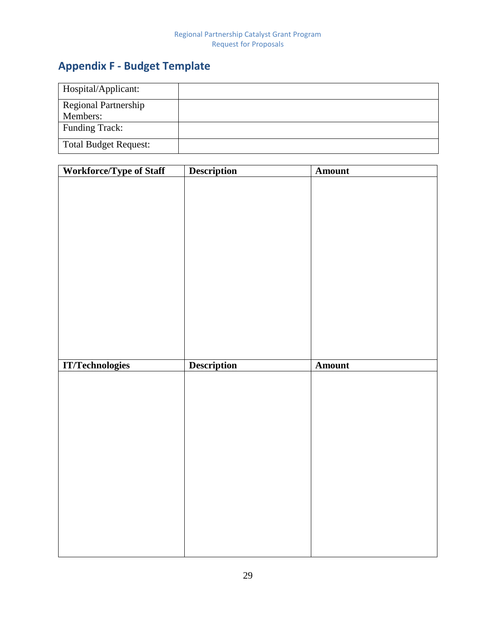# <span id="page-29-0"></span>**Appendix F - Budget Template**

| Hospital/Applicant:          |  |
|------------------------------|--|
| <b>Regional Partnership</b>  |  |
| Members:                     |  |
| <b>Funding Track:</b>        |  |
| <b>Total Budget Request:</b> |  |

| <b>Workforce/Type of Staff</b> | <b>Description</b> | Amount |
|--------------------------------|--------------------|--------|
|                                |                    |        |
|                                |                    |        |
|                                |                    |        |
|                                |                    |        |
|                                |                    |        |
|                                |                    |        |
|                                |                    |        |
|                                |                    |        |
|                                |                    |        |
|                                |                    |        |
|                                |                    |        |
|                                |                    |        |
|                                |                    |        |
|                                |                    |        |
|                                |                    |        |
|                                |                    |        |
| <b>IT/Technologies</b>         | <b>Description</b> | Amount |
|                                |                    |        |
|                                |                    |        |
|                                |                    |        |
|                                |                    |        |
|                                |                    |        |
|                                |                    |        |
|                                |                    |        |
|                                |                    |        |
|                                |                    |        |
|                                |                    |        |
|                                |                    |        |
|                                |                    |        |
|                                |                    |        |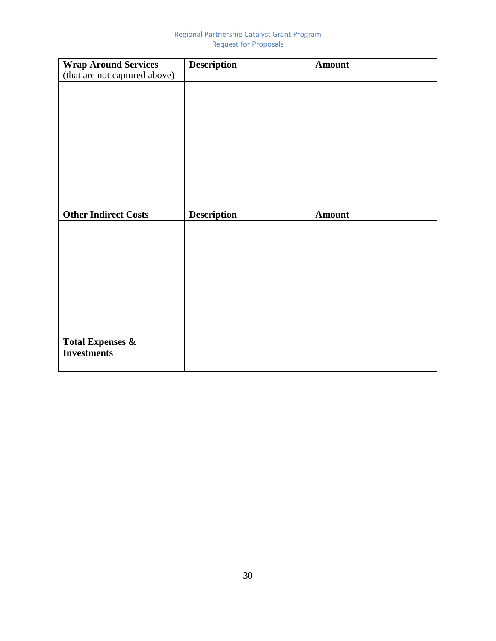| <b>Wrap Around Services</b>   | <b>Description</b> | <b>Amount</b> |
|-------------------------------|--------------------|---------------|
| (that are not captured above) |                    |               |
|                               |                    |               |
|                               |                    |               |
|                               |                    |               |
|                               |                    |               |
|                               |                    |               |
|                               |                    |               |
|                               |                    |               |
|                               |                    |               |
|                               |                    |               |
|                               |                    |               |
|                               |                    |               |
| <b>Other Indirect Costs</b>   | <b>Description</b> | <b>Amount</b> |
|                               |                    |               |
|                               |                    |               |
|                               |                    |               |
|                               |                    |               |
|                               |                    |               |
|                               |                    |               |
|                               |                    |               |
|                               |                    |               |
|                               |                    |               |
|                               |                    |               |
|                               |                    |               |
| <b>Total Expenses &amp;</b>   |                    |               |
| <b>Investments</b>            |                    |               |